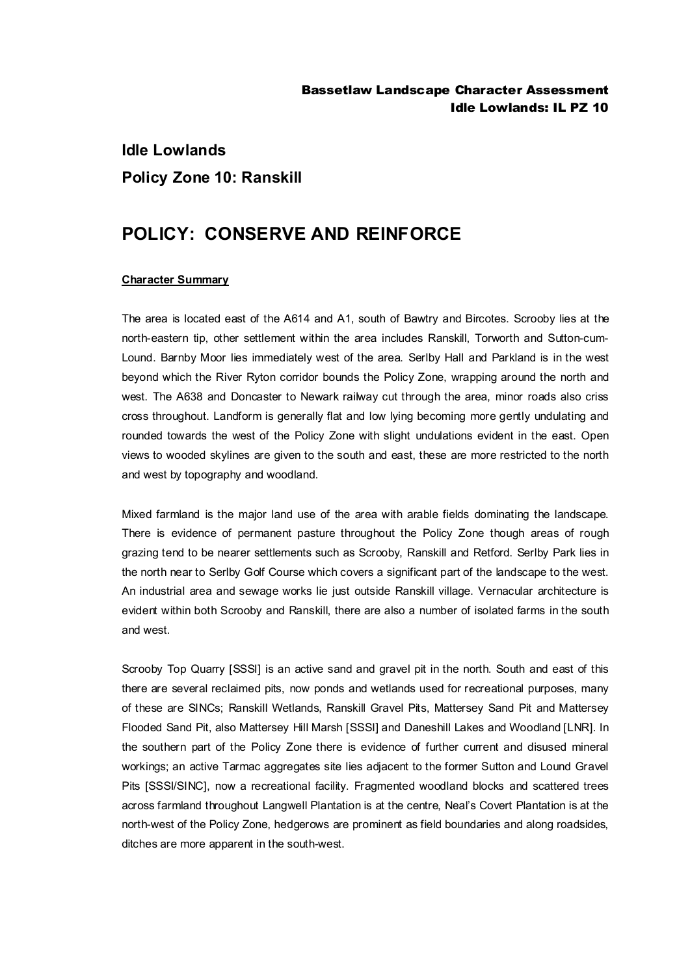# **Idle Lowlands Policy Zone 10: Ranskill**

## **POLICY: CONSERVE AND REINFORCE**

#### **Character Summary**

The area is located east of the A614 and A1, south of Bawtry and Bircotes. Scrooby lies at the north-eastern tip, other settlement within the area includes Ranskill, Torworth and Sutton-cum-Lound. Barnby Moor lies immediately west of the area. Serlby Hall and Parkland is in the west beyond which the River Ryton corridor bounds the Policy Zone, wrapping around the north and west. The A638 and Doncaster to Newark railway cut through the area, minor roads also criss cross throughout. Landform is generally flat and low lying becoming more gently undulating and rounded towards the west of the Policy Zone with slight undulations evident in the east. Open views to wooded skylines are given to the south and east, these are more restricted to the north and west by topography and woodland.

Mixed farmland is the major land use of the area with arable fields dominating the landscape. There is evidence of permanent pasture throughout the Policy Zone though areas of rough grazing tend to be nearer settlements such as Scrooby, Ranskill and Retford. Serlby Park lies in the north near to Serlby Golf Course which covers a significant part of the landscape to the west. An industrial area and sewage works lie just outside Ranskill village. Vernacular architecture is evident within both Scrooby and Ranskill, there are also a number of isolated farms in the south and west.

Scrooby Top Quarry [SSSI] is an active sand and gravel pit in the north. South and east of this there are several reclaimed pits, now ponds and wetlands used for recreational purposes, many of these are SINCs; Ranskill Wetlands, Ranskill Gravel Pits, Mattersey Sand Pit and Mattersey Flooded Sand Pit, also Mattersey Hill Marsh [SSSI] and Daneshill Lakes and Woodland [LNR]. In the southern part of the Policy Zone there is evidence of further current and disused mineral workings; an active Tarmac aggregates site lies adjacent to the former Sutton and Lound Gravel Pits [SSSI/SINC], now a recreational facility. Fragmented woodland blocks and scattered trees across farmland throughout Langwell Plantation is at the centre, Neal's Covert Plantation is at the north-west of the Policy Zone, hedgerows are prominent as field boundaries and along roadsides, ditches are more apparent in the south-west.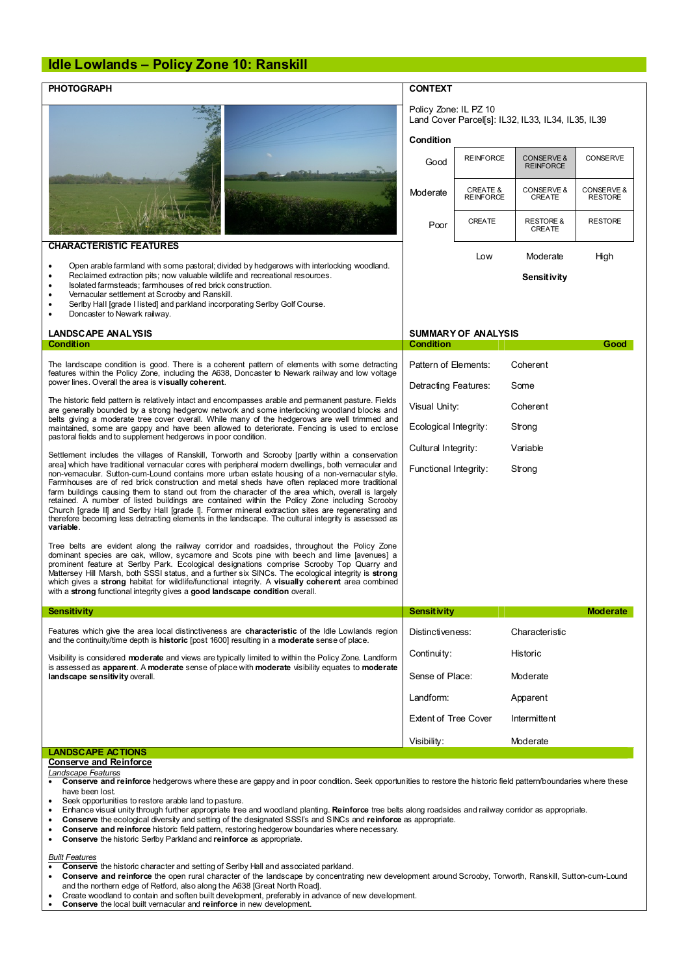#### **Idle Lowlands – Policy Zone 10: Ranskill**

| <b>PHOTOGRAPH</b>                                                                                                                                                                                                                                                                                                                                                                                                                                                                                                                                                                                                                                                                                                                                                                                                                                                                                                                                                                                                                                                                                                                                                                                                                                                                                                 | <b>CONTEXT</b>                                                                                  |                                         |                                           |                              |  |
|-------------------------------------------------------------------------------------------------------------------------------------------------------------------------------------------------------------------------------------------------------------------------------------------------------------------------------------------------------------------------------------------------------------------------------------------------------------------------------------------------------------------------------------------------------------------------------------------------------------------------------------------------------------------------------------------------------------------------------------------------------------------------------------------------------------------------------------------------------------------------------------------------------------------------------------------------------------------------------------------------------------------------------------------------------------------------------------------------------------------------------------------------------------------------------------------------------------------------------------------------------------------------------------------------------------------|-------------------------------------------------------------------------------------------------|-----------------------------------------|-------------------------------------------|------------------------------|--|
|                                                                                                                                                                                                                                                                                                                                                                                                                                                                                                                                                                                                                                                                                                                                                                                                                                                                                                                                                                                                                                                                                                                                                                                                                                                                                                                   | Policy Zone: IL PZ 10<br>Land Cover Parcel[s]: IL32, IL33, IL34, IL35, IL39<br><b>Condition</b> |                                         |                                           |                              |  |
|                                                                                                                                                                                                                                                                                                                                                                                                                                                                                                                                                                                                                                                                                                                                                                                                                                                                                                                                                                                                                                                                                                                                                                                                                                                                                                                   | Good                                                                                            | <b>REINFORCE</b>                        | <b>CONSERVE &amp;</b><br><b>REINFORCE</b> | <b>CONSERVE</b>              |  |
|                                                                                                                                                                                                                                                                                                                                                                                                                                                                                                                                                                                                                                                                                                                                                                                                                                                                                                                                                                                                                                                                                                                                                                                                                                                                                                                   | Moderate                                                                                        | <b>CREATE &amp;</b><br><b>REINFORCE</b> | CONSERVE &<br>CREATE                      | CONSERVE &<br><b>RESTORE</b> |  |
|                                                                                                                                                                                                                                                                                                                                                                                                                                                                                                                                                                                                                                                                                                                                                                                                                                                                                                                                                                                                                                                                                                                                                                                                                                                                                                                   | Poor                                                                                            | CREATE                                  | <b>RESTORE &amp;</b><br><b>CREATE</b>     | <b>RESTORE</b>               |  |
| <b>CHARACTERISTIC FEATURES</b>                                                                                                                                                                                                                                                                                                                                                                                                                                                                                                                                                                                                                                                                                                                                                                                                                                                                                                                                                                                                                                                                                                                                                                                                                                                                                    |                                                                                                 | Low                                     | Moderate                                  | High                         |  |
| Open arable farmland with some pastoral; divided by hedgerows with interlocking woodland.<br>٠<br>Reclaimed extraction pits; now valuable wildlife and recreational resources.<br>Isolated farmsteads; farmhouses of red brick construction.<br>Vernacular settlement at Scrooby and Ranskill.<br>Serlby Hall [grade I listed] and parkland incorporating Serlby Golf Course.<br>Doncaster to Newark railway.                                                                                                                                                                                                                                                                                                                                                                                                                                                                                                                                                                                                                                                                                                                                                                                                                                                                                                     |                                                                                                 |                                         | Sensitivity                               |                              |  |
| <b>LANDSCAPE ANALYSIS</b>                                                                                                                                                                                                                                                                                                                                                                                                                                                                                                                                                                                                                                                                                                                                                                                                                                                                                                                                                                                                                                                                                                                                                                                                                                                                                         | <b>SUMMARY OF ANALYSIS</b>                                                                      |                                         |                                           |                              |  |
| <b>Condition</b>                                                                                                                                                                                                                                                                                                                                                                                                                                                                                                                                                                                                                                                                                                                                                                                                                                                                                                                                                                                                                                                                                                                                                                                                                                                                                                  | Condition                                                                                       |                                         |                                           | Good                         |  |
| The landscape condition is good. There is a coherent pattern of elements with some detracting<br>features within the Policy Zone, including the A638, Doncaster to Newark railway and low voltage<br>power lines. Overall the area is visually coherent.                                                                                                                                                                                                                                                                                                                                                                                                                                                                                                                                                                                                                                                                                                                                                                                                                                                                                                                                                                                                                                                          |                                                                                                 | Pattern of Elements:                    | Coherent<br>Some                          |                              |  |
| The historic field pattern is relatively intact and encompasses arable and permanent pasture. Fields<br>are generally bounded by a strong hedgerow network and some interlocking woodland blocks and<br>belts giving a moderate tree cover overall. While many of the hedgerows are well trimmed and<br>maintained, some are gappy and have been allowed to deteriorate. Fencing is used to enclose<br>pastoral fields and to supplement hedgerows in poor condition.<br>Settlement includes the villages of Ranskill, Torworth and Scrooby [partly within a conservation<br>area] which have traditional vernacular cores with peripheral modern dwellings, both vernacular and<br>non-vemacular. Sutton-cum-Lound contains more urban estate housing of a non-vernacular style.<br>Farmhouses are of red brick construction and metal sheds have often replaced more traditional<br>farm buildings causing them to stand out from the character of the area which, overall is largely<br>retained. A number of listed buildings are contained within the Policy Zone including Scrooby<br>Church [grade II] and Serlby Hall [grade I]. Former mineral extraction sites are regenerating and<br>therefore becoming less detracting elements in the landscape. The cultural integrity is assessed as<br>variable. | Detracting Features:<br>Visual Unity:                                                           |                                         | Coherent                                  |                              |  |
|                                                                                                                                                                                                                                                                                                                                                                                                                                                                                                                                                                                                                                                                                                                                                                                                                                                                                                                                                                                                                                                                                                                                                                                                                                                                                                                   | Ecological Integrity:                                                                           |                                         | Strong                                    |                              |  |
|                                                                                                                                                                                                                                                                                                                                                                                                                                                                                                                                                                                                                                                                                                                                                                                                                                                                                                                                                                                                                                                                                                                                                                                                                                                                                                                   | Cultural Integrity:                                                                             |                                         | Variable                                  |                              |  |
|                                                                                                                                                                                                                                                                                                                                                                                                                                                                                                                                                                                                                                                                                                                                                                                                                                                                                                                                                                                                                                                                                                                                                                                                                                                                                                                   | Functional Integrity:                                                                           |                                         | Strong                                    |                              |  |
| Tree belts are evident along the railway corridor and roadsides, throughout the Policy Zone<br>dominant species are oak, willow, sycamore and Scots pine with beech and lime [avenues] a<br>prominent feature at Serlby Park. Ecological designations comprise Scrooby Top Quarry and<br>Mattersey Hill Marsh, both SSSI status, and a further six SINCs. The ecological integrity is strong<br>which gives a strong habitat for wildlife/functional integrity. A visually coherent area combined<br>with a strong functional integrity gives a good landscape condition overall.                                                                                                                                                                                                                                                                                                                                                                                                                                                                                                                                                                                                                                                                                                                                 |                                                                                                 |                                         |                                           |                              |  |
| <b>Sensitivity</b>                                                                                                                                                                                                                                                                                                                                                                                                                                                                                                                                                                                                                                                                                                                                                                                                                                                                                                                                                                                                                                                                                                                                                                                                                                                                                                | Sensitivity                                                                                     |                                         |                                           | <b>Moderate</b>              |  |
| Features which give the area local distinctiveness are characteristic of the Idle Lowlands region<br>and the continuity/time depth is historic [post 1600] resulting in a moderate sense of place.                                                                                                                                                                                                                                                                                                                                                                                                                                                                                                                                                                                                                                                                                                                                                                                                                                                                                                                                                                                                                                                                                                                | Distinctiveness:                                                                                |                                         | Characteristic                            |                              |  |
| Visibility is considered <b>moderate</b> and views are typically limited to within the Policy Zone. Landform<br>is assessed as apparent. A moderate sense of place with moderate visibility equates to moderate<br>landscape sensitivity overall.                                                                                                                                                                                                                                                                                                                                                                                                                                                                                                                                                                                                                                                                                                                                                                                                                                                                                                                                                                                                                                                                 | Continuity:                                                                                     |                                         | Historic                                  |                              |  |
|                                                                                                                                                                                                                                                                                                                                                                                                                                                                                                                                                                                                                                                                                                                                                                                                                                                                                                                                                                                                                                                                                                                                                                                                                                                                                                                   | Sense of Place:                                                                                 |                                         | Moderate                                  |                              |  |
|                                                                                                                                                                                                                                                                                                                                                                                                                                                                                                                                                                                                                                                                                                                                                                                                                                                                                                                                                                                                                                                                                                                                                                                                                                                                                                                   | Landform:<br>Apparent                                                                           |                                         |                                           |                              |  |
|                                                                                                                                                                                                                                                                                                                                                                                                                                                                                                                                                                                                                                                                                                                                                                                                                                                                                                                                                                                                                                                                                                                                                                                                                                                                                                                   | Extent of Tree Cover                                                                            |                                         | Intermittent                              |                              |  |
|                                                                                                                                                                                                                                                                                                                                                                                                                                                                                                                                                                                                                                                                                                                                                                                                                                                                                                                                                                                                                                                                                                                                                                                                                                                                                                                   | Visibility:                                                                                     |                                         | Moderate                                  |                              |  |
| <b>LANDSCAPE ACTIONS</b><br><b>Conserve and Reinforce</b><br>Landscape Features                                                                                                                                                                                                                                                                                                                                                                                                                                                                                                                                                                                                                                                                                                                                                                                                                                                                                                                                                                                                                                                                                                                                                                                                                                   |                                                                                                 |                                         |                                           |                              |  |
| Conserve and reinforce hedgerows where these are gappy and in poor condition. Seek opportunities to restore the historic field pattern/boundaries where these<br>have been lost.                                                                                                                                                                                                                                                                                                                                                                                                                                                                                                                                                                                                                                                                                                                                                                                                                                                                                                                                                                                                                                                                                                                                  |                                                                                                 |                                         |                                           |                              |  |

- 
- · Seek opportunities to restore arable land to pasture. · Enhance visual unity through further appropriate tree and woodland planting. **Reinforce** tree belts along roadsides and railway corridor as appropriate.
- · **Conserve** the ecological diversity and setting of the designated SSSI's and SINCs and **reinforce** as appropriate.
- · **Conserve and reinforce** historic field pattern, restoring hedgerow boundaries where necessary.
- · **Conserve** the historic Serlby Parkland and **reinforce** as appropriate.

### *Built Features*

- · **Conserve** the historic character and setting of Serlby Hall and associated parkland.
- · **Conserve and reinforce** the open rural character of the landscape by concentrating new development around Scrooby, Torworth, Ranskill, Sutton-cum-Lound and the northern edge of Retford, also along the A638 [Great North Road].
- · Create woodland to contain and soften built development, preferably in advance of new development. · **Conserve** the local built vernacular and **reinforce** in new development.
-